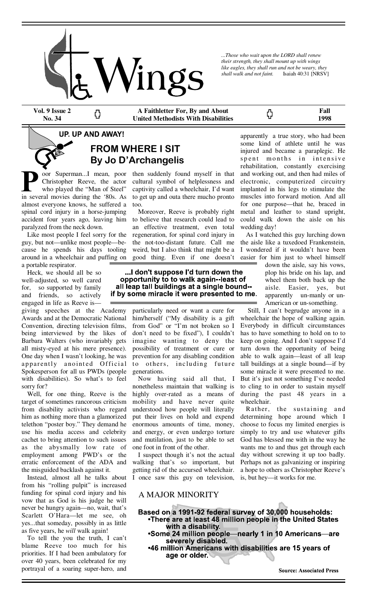

*...Those who wait upon the LORD shall renew their strength, they shall mount up with wings like eagles, they shall run and not be weary, they shall walk and not faint.* Isaiah 40:31 [NRSV]

ርጋ

**Vol. 9 Issue 2 No. 34** 

Ω

**A Faithletter For, By and About United Methodists With Disabilities** 

**Fall 1998** 

## **UP, UP AND AWAY!**

# **FROM WHERE I SIT By Jo D'Archangelis**

oor Superman...I mean, poor Christopher Reeve, the actor who played the "Man of Steel" in several movies during the '80s. As almost everyone knows, he suffered a spinal cord injury in a horse-jumping accident four years ago, leaving him paralyzed from the neck down.

 Like most people I feel sorry for the guy, but not—unlike most people—because he spends his days tooling around in a wheelchair and puffing on a portable respirator.

 Heck, we should all be so well-adjusted, so well cared for, so supported by family and friends, so actively engaged in life as Reeve is—

giving speeches at the Academy Awards and at the Democratic National Convention, directing television films, being interviewed by the likes of Barbara Walters (who invariably gets all misty-eyed at his mere presence). One day when I wasn't looking, he was apparently anointed Official Spokesperson for all us PWDs (people with disabilities). So what's to feel sorry for?

 Well, for one thing, Reeve is the target of sometimes rancorous criticism from disability activists who regard him as nothing more than a glamorized telethon "poster boy." They demand he use his media access and celebrity cachet to bring attention to such issues as the abysmally low rate of employment among PWD's or the erratic enforcement of the ADA and the misguided backlash against it.

 Instead, almost all he talks about from his "rolling pulpit" is increased funding for spinal cord injury and his vow that as God is his judge he will never be hungry again—no, wait, that's Scarlett O'Hara—let me see, oh yes...that someday, possibly in as little as five years, he *will* walk again!

 To tell the you the truth, I can't blame Reeve too much for his priorities. If I had been ambulatory for over 40 years, been celebrated for my portrayal of a soaring super-hero, and

then suddenly found myself in that cultural symbol of helplessness and captivity called a wheelchair, I'd want to get up and outa there mucho pronto too.

 Moreover, Reeve is probably right to believe that research could lead to an effective treatment, even total regeneration, for spinal cord injury in the not-too-distant future. Call me weird, but I also think that might be a good thing. Even if one doesn't

#### ... I don't suppose I'd turn down the opportunity to to walk again--least of all leap tall buildings at a single bound-if by some miracle it were presented to me.

particularly need or want a cure for him/herself ("My disability is a gift from God" or "I'm not broken so I don't need to be fixed"), I couldn't imagine wanting to deny the possibility of treatment or cure or prevention for any disabling condition to others, including future generations.

 Now having said all that, I nonetheless maintain that walking is highly over-rated as a means of mobility and have never quite understood how people will literally put their lives on hold and expend enormous amounts of time, money, and energy, or even undergo torture and mutilation, just to be able to set one foot in front of the other.

 I suspect though it's not the actual walking that's so important, but getting rid of the accursed wheelchair. I once saw this guy on television,

A MAJOR MINORITY

apparently a true story, who had been some kind of athlete until he was injured and became a paraplegic. He spent months in intensive rehabilitation, constantly exercising and working out, and then had miles of electronic, computerized circuitry implanted in his legs to stimulate the muscles into forward motion. And all for one purpose—that he, braced in metal and leather to stand upright, could walk down the aisle on his wedding day!

 As I watched this guy lurching down the aisle like a tuxedoed Frankenstein, I wondered if it wouldn't have been easier for him just to wheel himself

down the aisle, say his vows, plop his bride on his lap, and wheel them both back up the aisle. Easier, yes, but apparently un-manly or un-American or un-something.

 Still, I can't begrudge anyone in a wheelchair the hope of walking again. Everybody in difficult circumstances has to have something to hold on to to keep on going. And I don't suppose I'd turn down the opportunity of being able to walk again—least of all leap tall buildings at a single bound—if by some miracle it were presented to me. But it's just not something I've needed to cling to in order to sustain myself during the past 48 years in a wheelchair.

Rather, the sustaining and determining hope around which I choose to focus my limited energies is simply to try and use whatever gifts God has blessed me with in the way he wants me to and thus get through each day without screwing it up too badly. Perhaps not as galvanizing or inspiring a hope to others as Christopher Reeve's is, but hey—it works for me.

- Based on a 1991-92 federal survey of 30,000 households: •There are at least 48 million people in the United States with a disability. •Some 24 million people—nearly 1 in 10 Americans—are
	- severely disabled. •46 million Americans with disabilities are 15 years of age or older.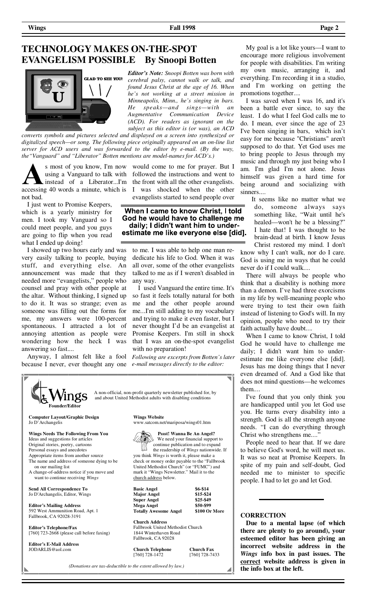# **TECHNOLOGY MAKES ON-THE-SPOT EVANGELISM POSSIBLE By Snoopi Botten**



*Editor's Note: Snoopi Botten was born with cerebral palsy, cannot walk or talk, and found Jesus Christ at the age of 16. When he's not working at a street mission in Minneapolis, Minn., he's singing in bars. He speaks—and sings—with an Augmentative Communication Device (ACD). For readers as ignorant on the subject as this editor is (or was), an ACD* 

*converts symbols and pictures selected and displayed on a screen into synthesized or digitalized speech—or song. The following piece originally appeared on an on-line list server for ACD users and was forwarded to the editor by e-mail. (By the way, the"Vanguard" and "Liberator" Botten mentions are model-names for ACD's.)* 

s most of you know, I'm now instead of a Liberator...I'm accessing 40 words a minute, which is not bad.

 I just went to Promise Keepers, which is a yearly ministry for men. I took my Vanguard so I could meet people, and you guys are going to flip when you read what I ended up doing!

 I showed up two hours early and was very easily talking to people, buying stuff, and everything else. An announcement was made that they needed more "evangelists," people who counsel and pray with other people at the altar. Without thinking, I signed up to do it. It was so strange; even as someone was filling out the forms for me, my answers were 100-percent spontaneous. I attracted a lot of annoying attention as people were wondering how the heck I was answering so fast....

 Anyway, I almost felt like a fool because I never, ever thought any one

using a Vanguard to talk with followed the instructions and went to would come to me for prayer. But I the front with all the other evangelists. I was shocked when the other evangelists started to send people over

> When I came to know Christ, I told God he would have to challenge me daily; I didn't want him to underestimate me like everyone else [did].

to me. I was able to help one man rededicate his life to God. When it was all over, some of the other evangelists talked to me as if I weren't disabled in any way.

 I used Vanguard the entire time. It's so fast it feels totally natural for both me and the other people around me...I'm still adding to my vocabulary and trying to make it even faster, but I never thought I'd be an evangelist at Promise Keepers. I'm still in shock that I was an on-the-spot evangelist with no preparation!

*Following are excerpts from Botten's later e-mail messages directly to the editor:* 



 My goal is a lot like yours—I want to encourage more religious involvement for people with disabilities. I'm writing my own music, arranging it, and everything. I'm recording it in a studio, and I'm working on getting the promotions together....

 I was saved when I was 16, and it's been a battle ever since, to say the least. I do what I feel God calls me to do. I mean, ever since the age of 23 I've been singing in bars, which isn't easy for me because "Christians" aren't supposed to do that. Yet God uses me to bring people to Jesus through my music and through my just being who I am. I'm glad I'm not alone. Jesus himself was given a hard time for being around and socializing with sinners....

 It seems like no matter what we do, someone always says something like, "Wait until he's healed—won't he be a blessing?" I hate that! I was thought to be brain-dead at birth. I know Jesus Christ restored my mind. I don't know why I can't walk, nor do I care. God is using me in ways that he could

never do if I could walk.... There will always be people who think that a disability is nothing more than a demon. I've had three exorcisms in my life by well-meaning people who were trying to test their own faith instead of listening to God's will. In my opinion, people who need to try their faith actually have doubt....

 When I came to know Christ, I told God he would have to challenge me daily; I didn't want him to underestimate me like everyone else [did]. Jesus has me doing things that I never even dreamed of. And a God like that does not mind questions—he welcomes them....

 I've found that you only think you are handicapped until you let God use you. He turns every disability into a strength. God is all the strength anyone needs. "I can do everything through Christ who strengthens me....

 People need to hear that. If we dare to believe God's word, he will meet us. It was so neat at Promise Keepers. In spite of my pain and self-doubt, God needed me to minister to specific people. I had to let go and let God.

#### **CORRECTION**

 **Due to a mental lapse (of which there are plenty to go around), your esteemed editor has been giving an incorrect website address in the**  *Wings* **info box in past issues. The correct website address is given in** 

(Donations are tax-deductible to the extent allowed by law.) **the info box at the left.**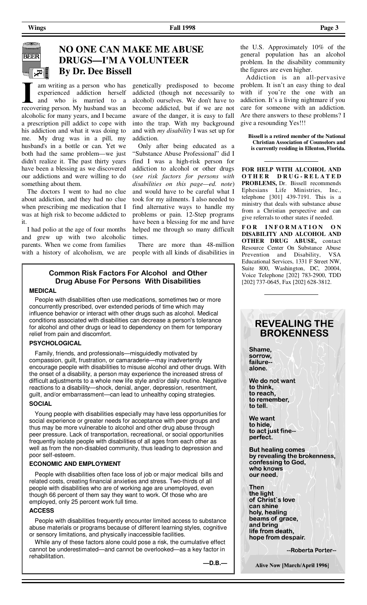**BEER** 

# **NO ONE CAN MAKE ME ABUSE DRUGS—I'M A VOLUNTEER By Dr. Dee Bissell**

am writing as a person who has experienced addiction herself and who is married to a recovering person. My husband was an alcoholic for many years, and I became a prescription pill addict to cope with his addiction and what it was doing to me. My drug was in a pill, my husband's in a bottle or can. Yet we both had the same problem—we just didn't realize it. The past thirty years have been a blessing as we discovered our addictions and were willing to do something about them.

 The doctors I went to had no clue about addiction, and they had no clue when prescribing me medication that I was at high risk to become addicted to it.

 I had polio at the age of four months and grew up with two alcoholic parents. When we come from families

genetically predisposed to become addicted (though not necessarily to alcohol) ourselves. We don't have to become addicted, but if we are not aware of the danger, it is easy to fall into the trap. With my background and with *my disability* I was set up for addiction.

 Only after being educated as a "Substance Abuse Professional" did I find I was a high-risk person for addiction to alcohol or other drugs (*see risk factors for persons with disabilities on this page—ed. note*) and would have to be careful what I took for my ailments. I also needed to find alternative ways to handle my problems or pain. 12-Step programs have been a blessing for me and have helped me through so many difficult times.

with a history of alcoholism, we are people with all kinds of disabilities in There are more than 48-million

#### **Common Risk Factors For Alcohol and Other Drug Abuse For Persons With Disabilities**

#### **MEDICAL**

 People with disabilities often use medications, sometimes two or more concurrently prescribed, over extended periods of time which may influence behavior or interact with other drugs such as alcohol. Medical conditions associated with disabilities can decrease a person's tolerance for alcohol and other drugs or lead to dependency on them for temporary relief from pain and discomfort.

#### **PSYCHOLOGICAL**

 Family, friends, and professionals—misguidedly motivated by compassion, guilt, frustration, or camaraderie—may inadvertently encourage people with disabilities to misuse alcohol and other drugs. With the onset of a disability, a person may experience the increased stress of difficult adjustments to a whole new life style and/or daily routine. Negative reactions to a disability—shock, denial, anger, depression, resentment, guilt, and/or embarrassment—can lead to unhealthy coping strategies. **SOCIAL**

 Young people with disabilities especially may have less opportunities for social experience or greater needs for acceptance with peer groups and thus may be more vulnerable to alcohol and other drug abuse through peer pressure. Lack of transportation, recreational, or social opportunities frequently isolate people with disabilities of all ages from each other as well as from the non-disabled community, thus leading to depression and poor self-esteem.

#### **ECONOMIC AND EMPLOYMENT**

 People with disabilities often face loss of job or major medical bills and related costs, creating financial anxieties and stress. Two-thirds of all people with disabilities who are of working age are unemployed, even though 66 percent of them say they want to work. Of those who are employed, only 25 percent work full time.

#### **ACCESS**

 People with disabilities frequently encounter limited access to substance abuse materials or programs because of different learning styles, cognitive or sensory limitations, and physically inaccessible facilities.

 While any of these factors alone could pose a risk, the cumulative effect cannot be underestimated—and cannot be overlooked—as a key factor in rehabilitation.

 **—D.B.—**

the U.S. Approximately 10% of the general population has an alcohol problem. In the disability community the figures are even higher.

 Addiction is an all-pervasive problem. It isn't an easy thing to deal with if you're the one with an addiction. It's a living nightmare if you care for someone with an addiction. Are there answers to these problems? I give a resounding Yes!!!

**Bissell is a retired member of the National Christian Association of Counselors and is currently residing in Ellenton, Florida.**

**FOR HELP WITH ALCOHOL AND O T H E R D R U G - R E L A T E D PROBLEMS,** Dr. Bissell recommends Ephesians Life Ministries, Inc., telephone [301] 439-7191. This is a ministry that deals with substance abuse from a Christian perspective and can give referrals to other states if needed.

FOR INFORMATION ON **DISABILITY AND ALCOHOL AND OTHER DRUG ABUSE,** contact Resource Center On Substance Abuse Prevention and Disability, VSA Educational Services, 1331 F Street NW, Suite 800, Washington, DC, 20004, Voice Telephone [202] 783-2900, TDD [202] 737-0645, Fax [202] 628-3812.

## **REVEALING THE BROKENNESS**

Shame. sorrow. failurealone.

We do not want to think. to reach, to remember. to tell.

We want to hide, to act just fine-perfect.

**But healing comes** by revealing the brokenness,<br>confessing to God, who knows our need.

Then the light of Christ's love can shine holy, healing beams of grace, and bring life from death, hope from despair.

--Roberta Porter--